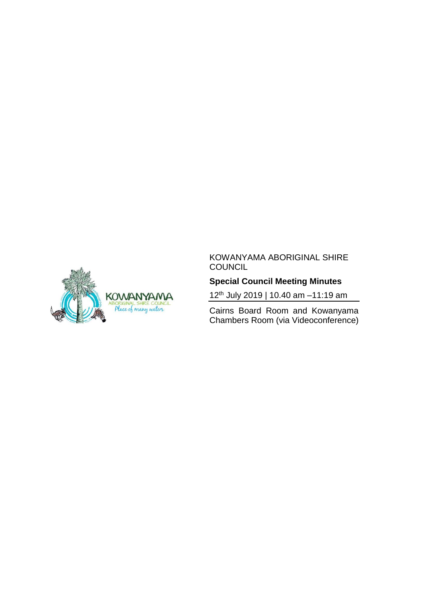

#### KOWANYAMA ABORIGINAL SHIRE **COUNCIL**

# **Special Council Meeting Minutes**

12th July 2019 | 10.40 am –11:19 am

Cairns Board Room and Kowanyama Chambers Room (via Videoconference)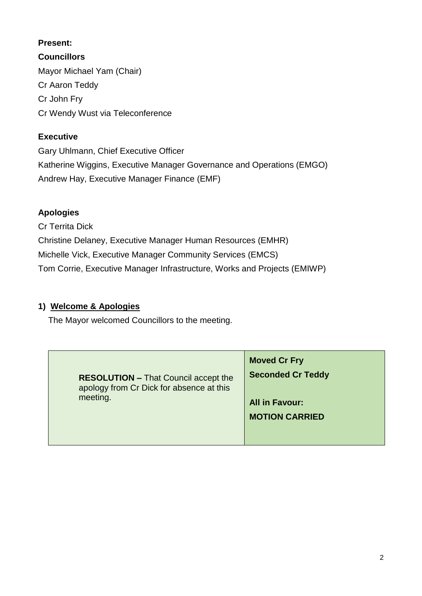#### **Present:**

**Councillors** Mayor Michael Yam (Chair) Cr Aaron Teddy Cr John Fry Cr Wendy Wust via Teleconference

#### **Executive**

Gary Uhlmann, Chief Executive Officer Katherine Wiggins, Executive Manager Governance and Operations (EMGO) Andrew Hay, Executive Manager Finance (EMF)

### **Apologies**

Cr Territa Dick Christine Delaney, Executive Manager Human Resources (EMHR) Michelle Vick, Executive Manager Community Services (EMCS) Tom Corrie, Executive Manager Infrastructure, Works and Projects (EMIWP)

### **1) Welcome & Apologies**

The Mayor welcomed Councillors to the meeting.

| <b>RESOLUTION - That Council accept the</b><br>apology from Cr Dick for absence at this<br>meeting. | <b>Moved Cr Fry</b><br><b>Seconded Cr Teddy</b><br><b>All in Favour:</b><br><b>MOTION CARRIED</b> |
|-----------------------------------------------------------------------------------------------------|---------------------------------------------------------------------------------------------------|
|-----------------------------------------------------------------------------------------------------|---------------------------------------------------------------------------------------------------|